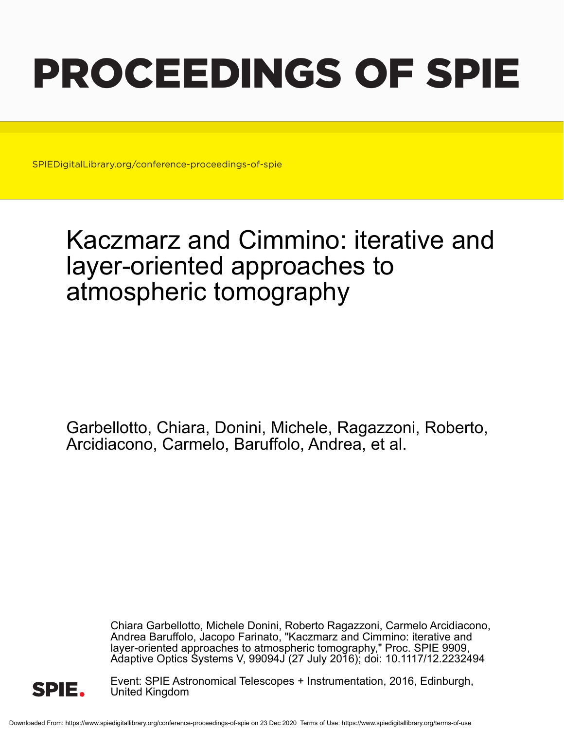# PROCEEDINGS OF SPIE

SPIEDigitalLibrary.org/conference-proceedings-of-spie

# Kaczmarz and Cimmino: iterative and layer-oriented approaches to atmospheric tomography

Garbellotto, Chiara, Donini, Michele, Ragazzoni, Roberto, Arcidiacono, Carmelo, Baruffolo, Andrea, et al.

> Chiara Garbellotto, Michele Donini, Roberto Ragazzoni, Carmelo Arcidiacono, Andrea Baruffolo, Jacopo Farinato, "Kaczmarz and Cimmino: iterative and layer-oriented approaches to atmospheric tomography," Proc. SPIE 9909, Adaptive Optics Systems V, 99094J (27 July 2016); doi: 10.1117/12.2232494



Event: SPIE Astronomical Telescopes + Instrumentation, 2016, Edinburgh, United Kingdom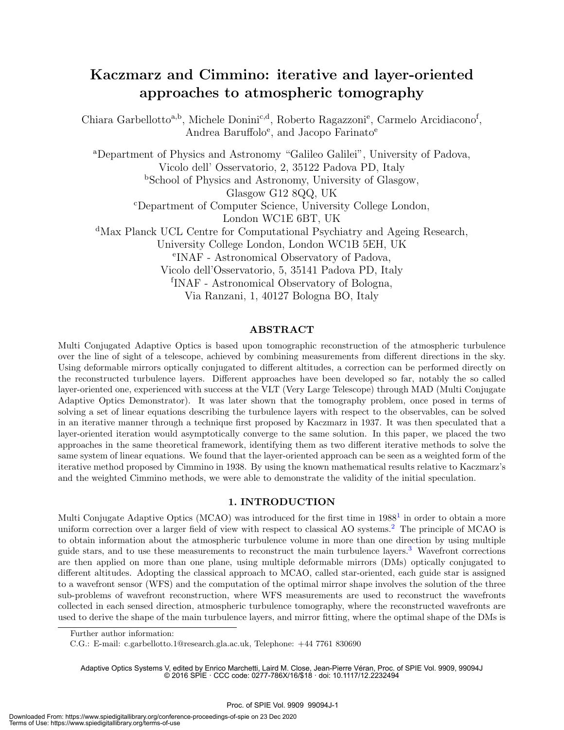# Kaczmarz and Cimmino: iterative and layer-oriented approaches to atmospheric tomography

Chiara Garbellotto<sup>a,b</sup>, Michele Donini<sup>c,d</sup>, Roberto Ragazzoni<sup>e</sup>, Carmelo Arcidiacono<sup>f</sup>, Andrea Baruffolo<sup>e</sup>, and Jacopo Farinato<sup>e</sup>

<sup>a</sup>Department of Physics and Astronomy "Galileo Galilei", University of Padova, Vicolo dell' Osservatorio, 2, 35122 Padova PD, Italy <sup>b</sup>School of Physics and Astronomy, University of Glasgow, Glasgow G12 8QQ, UK <sup>c</sup>Department of Computer Science, University College London, London WC1E 6BT, UK <sup>d</sup>Max Planck UCL Centre for Computational Psychiatry and Ageing Research, University College London, London WC1B 5EH, UK e INAF - Astronomical Observatory of Padova, Vicolo dell'Osservatorio, 5, 35141 Padova PD, Italy f INAF - Astronomical Observatory of Bologna, Via Ranzani, 1, 40127 Bologna BO, Italy

# ABSTRACT

Multi Conjugated Adaptive Optics is based upon tomographic reconstruction of the atmospheric turbulence over the line of sight of a telescope, achieved by combining measurements from different directions in the sky. Using deformable mirrors optically conjugated to different altitudes, a correction can be performed directly on the reconstructed turbulence layers. Different approaches have been developed so far, notably the so called layer-oriented one, experienced with success at the VLT (Very Large Telescope) through MAD (Multi Conjugate Adaptive Optics Demonstrator). It was later shown that the tomography problem, once posed in terms of solving a set of linear equations describing the turbulence layers with respect to the observables, can be solved in an iterative manner through a technique first proposed by Kaczmarz in 1937. It was then speculated that a layer-oriented iteration would asymptotically converge to the same solution. In this paper, we placed the two approaches in the same theoretical framework, identifying them as two different iterative methods to solve the same system of linear equations. We found that the layer-oriented approach can be seen as a weighted form of the iterative method proposed by Cimmino in 1938. By using the known mathematical results relative to Kaczmarz's and the weighted Cimmino methods, we were able to demonstrate the validity of the initial speculation.

# 1. INTRODUCTION

Multi Conjugate Adaptive Optics (MCAO) was introduced for the first time in 1988<sup>1</sup> in order to obtain a more uniform correction over a larger field of view with respect to classical AO systems.<sup>2</sup> The principle of MCAO is to obtain information about the atmospheric turbulence volume in more than one direction by using multiple guide stars, and to use these measurements to reconstruct the main turbulence layers.<sup>3</sup> Wavefront corrections are then applied on more than one plane, using multiple deformable mirrors (DMs) optically conjugated to different altitudes. Adopting the classical approach to MCAO, called star-oriented, each guide star is assigned to a wavefront sensor (WFS) and the computation of the optimal mirror shape involves the solution of the three sub-problems of wavefront reconstruction, where WFS measurements are used to reconstruct the wavefronts collected in each sensed direction, atmospheric turbulence tomography, where the reconstructed wavefronts are used to derive the shape of the main turbulence layers, and mirror fitting, where the optimal shape of the DMs is

Adaptive Optics Systems V, edited by Enrico Marchetti, Laird M. Close, Jean-Pierre Véran, Proc. of SPIE Vol. 9909, 99094J © 2016 SPIE · CCC code: 0277-786X/16/\$18 · doi: 10.1117/12.2232494

Further author information:

C.G.: E-mail: c.garbellotto.1@research.gla.ac.uk, Telephone: +44 7761 830690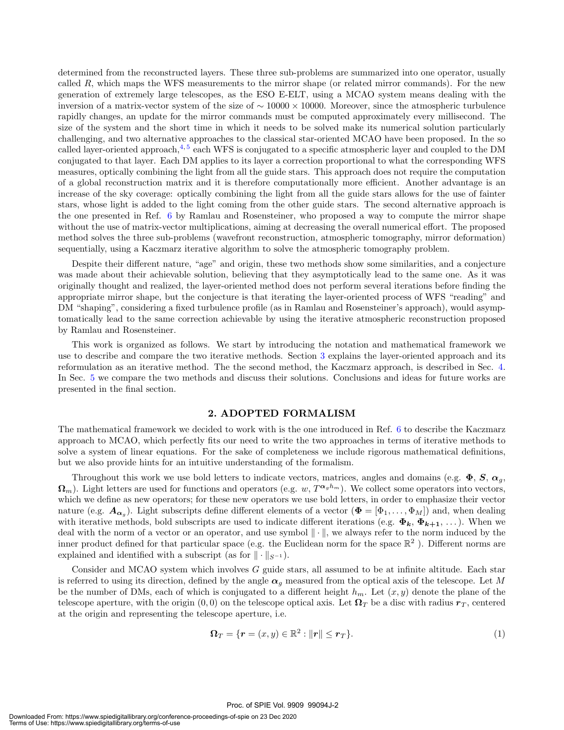determined from the reconstructed layers. These three sub-problems are summarized into one operator, usually called R, which maps the WFS measurements to the mirror shape (or related mirror commands). For the new generation of extremely large telescopes, as the ESO E-ELT, using a MCAO system means dealing with the inversion of a matrix-vector system of the size of ∼ 10000 × 10000. Moreover, since the atmospheric turbulence rapidly changes, an update for the mirror commands must be computed approximately every millisecond. The size of the system and the short time in which it needs to be solved make its numerical solution particularly challenging, and two alternative approaches to the classical star-oriented MCAO have been proposed. In the so called layer-oriented approach,<sup>4,5</sup> each WFS is conjugated to a specific atmospheric layer and coupled to the DM conjugated to that layer. Each DM applies to its layer a correction proportional to what the corresponding WFS measures, optically combining the light from all the guide stars. This approach does not require the computation of a global reconstruction matrix and it is therefore computationally more efficient. Another advantage is an increase of the sky coverage: optically combining the light from all the guide stars allows for the use of fainter stars, whose light is added to the light coming from the other guide stars. The second alternative approach is the one presented in Ref. 6 by Ramlau and Rosensteiner, who proposed a way to compute the mirror shape without the use of matrix-vector multiplications, aiming at decreasing the overall numerical effort. The proposed method solves the three sub-problems (wavefront reconstruction, atmospheric tomography, mirror deformation) sequentially, using a Kaczmarz iterative algorithm to solve the atmospheric tomography problem.

Despite their different nature, "age" and origin, these two methods show some similarities, and a conjecture was made about their achievable solution, believing that they asymptotically lead to the same one. As it was originally thought and realized, the layer-oriented method does not perform several iterations before finding the appropriate mirror shape, but the conjecture is that iterating the layer-oriented process of WFS "reading" and DM "shaping", considering a fixed turbulence profile (as in Ramlau and Rosensteiner's approach), would asymptomatically lead to the same correction achievable by using the iterative atmospheric reconstruction proposed by Ramlau and Rosensteiner.

This work is organized as follows. We start by introducing the notation and mathematical framework we use to describe and compare the two iterative methods. Section 3 explains the layer-oriented approach and its reformulation as an iterative method. The the second method, the Kaczmarz approach, is described in Sec. 4. In Sec. 5 we compare the two methods and discuss their solutions. Conclusions and ideas for future works are presented in the final section.

# 2. ADOPTED FORMALISM

The mathematical framework we decided to work with is the one introduced in Ref. 6 to describe the Kaczmarz approach to MCAO, which perfectly fits our need to write the two approaches in terms of iterative methods to solve a system of linear equations. For the sake of completeness we include rigorous mathematical definitions, but we also provide hints for an intuitive understanding of the formalism.

Throughout this work we use bold letters to indicate vectors, matrices, angles and domains (e.g.  $\Phi$ , S,  $\alpha_q$ ,  $\Omega_m$ ). Light letters are used for functions and operators (e.g. w,  $T^{\alpha_g h_m}$ ). We collect some operators into vectors, which we define as new operators; for these new operators we use bold letters, in order to emphasize their vector nature (e.g.  $A_{\alpha_g}$ ). Light subscripts define different elements of a vector  $(\Phi = [\Phi_1, \dots, \Phi_M])$  and, when dealing with iterative methods, bold subscripts are used to indicate different iterations (e.g.  $\Phi_k$ ,  $\Phi_{k+1}$ , ...). When we deal with the norm of a vector or an operator, and use symbol  $\|\cdot\|$ , we always refer to the norm induced by the inner product defined for that particular space (e.g. the Euclidean norm for the space  $\mathbb{R}^2$ ). Different norms are explained and identified with a subscript (as for  $\|\cdot\|_{S^{-1}}$ ).

Consider and MCAO system which involves  $G$  guide stars, all assumed to be at infinite altitude. Each star is referred to using its direction, defined by the angle  $\alpha_q$  measured from the optical axis of the telescope. Let M be the number of DMs, each of which is conjugated to a different height  $h_m$ . Let  $(x, y)$  denote the plane of the telescope aperture, with the origin  $(0, 0)$  on the telescope optical axis. Let  $\Omega_T$  be a disc with radius  $r_T$ , centered at the origin and representing the telescope aperture, i.e.

$$
\Omega_T = \{ \mathbf{r} = (x, y) \in \mathbb{R}^2 : ||\mathbf{r}|| \le \mathbf{r}_T \}. \tag{1}
$$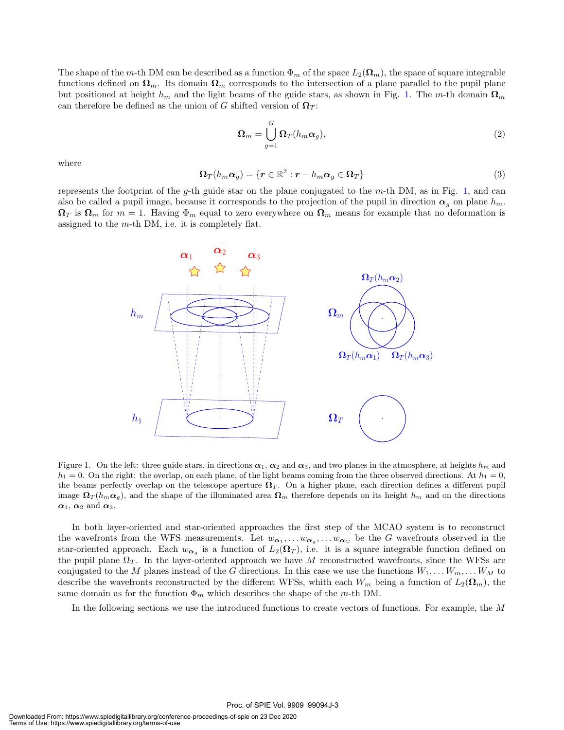The shape of the m-th DM can be described as a function  $\Phi_m$  of the space  $L_2(\Omega_m)$ , the space of square integrable functions defined on  $\Omega_m$ . Its domain  $\Omega_m$  corresponds to the intersection of a plane parallel to the pupil plane but positioned at height  $h_m$  and the light beams of the guide stars, as shown in Fig. 1. The m-th domain  $\Omega_m$ can therefore be defined as the union of G shifted version of  $\Omega_T$ :

$$
\Omega_m = \bigcup_{g=1}^G \Omega_T(h_m \alpha_g),\tag{2}
$$

where

$$
\mathbf{\Omega}_T(h_m \alpha_g) = \{ \mathbf{r} \in \mathbb{R}^2 : \mathbf{r} - h_m \alpha_g \in \mathbf{\Omega}_T \} \tag{3}
$$

represents the footprint of the g-th guide star on the plane conjugated to the  $m$ -th DM, as in Fig. 1, and can also be called a pupil image, because it corresponds to the projection of the pupil in direction  $\alpha_q$  on plane  $h_m$ .  $\Omega_T$  is  $\Omega_m$  for  $m=1$ . Having  $\Phi_m$  equal to zero everywhere on  $\Omega_m$  means for example that no deformation is assigned to the  $m$ -th DM, i.e. it is completely flat.



Figure 1. On the left: three guide stars, in directions  $\alpha_1, \alpha_2$  and  $\alpha_3$ , and two planes in the atmosphere, at heights  $h_m$  and  $h_1 = 0$ . On the right: the overlap, on each plane, of the light beams coming from the three observed directions. At  $h_1 = 0$ , the beams perfectly overlap on the telescope aperture  $\Omega_T$ . On a higher plane, each direction defines a different pupil image  $\Omega_T(h_m\alpha_g)$ , and the shape of the illuminated area  $\Omega_m$  therefore depends on its height  $h_m$  and on the directions  $\alpha_1$ ,  $\alpha_2$  and  $\alpha_3$ .

In both layer-oriented and star-oriented approaches the first step of the MCAO system is to reconstruct the wavefronts from the WFS measurements. Let  $w_{\alpha_1}, \ldots w_{\alpha_g}, \ldots w_{\alpha_G}$  be the G wavefronts observed in the star-oriented approach. Each  $w_{\alpha_g}$  is a function of  $L_2(\mathbf{\Omega}_T)$ , i.e. it is a square integrable function defined on the pupil plane  $\Omega_T$ . In the layer-oriented approach we have M reconstructed wavefronts, since the WFSs are conjugated to the M planes instead of the G directions. In this case we use the functions  $W_1, \ldots, W_m, \ldots, W_M$  to describe the wavefronts reconstructed by the different WFSs, whith each  $W_m$  being a function of  $L_2(\mathbf{\Omega}_m)$ , the same domain as for the function  $\Phi_m$  which describes the shape of the m-th DM.

In the following sections we use the introduced functions to create vectors of functions. For example, the M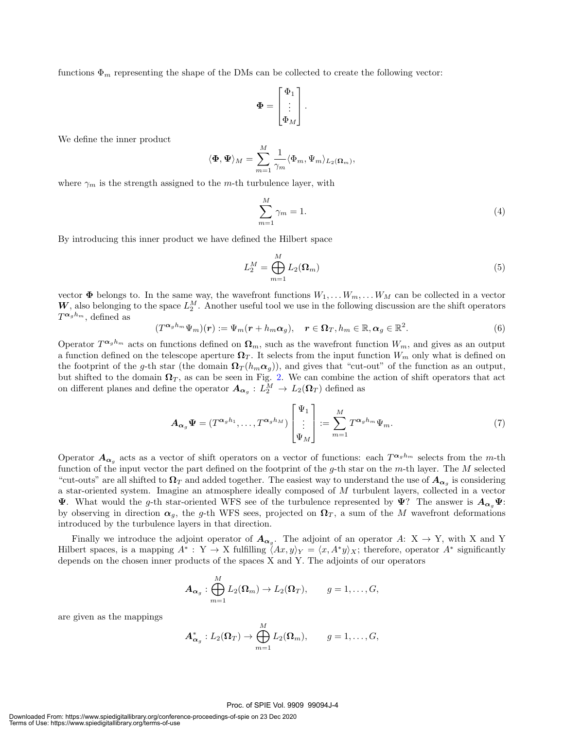functions  $\Phi_m$  representing the shape of the DMs can be collected to create the following vector:

$$
\mathbf{\Phi} = \begin{bmatrix} \Phi_1 \\ \vdots \\ \Phi_M \end{bmatrix}.
$$

We define the inner product

$$
\langle \mathbf{\Phi}, \mathbf{\Psi} \rangle_M = \sum_{m=1}^M \frac{1}{\gamma_m} \langle \Phi_m, \Psi_m \rangle_{L_2(\Omega_m)},
$$

where  $\gamma_m$  is the strength assigned to the m-th turbulence layer, with

$$
\sum_{m=1}^{M} \gamma_m = 1. \tag{4}
$$

By introducing this inner product we have defined the Hilbert space

$$
L_2^M = \bigoplus_{m=1}^M L_2(\Omega_m)
$$
\n<sup>(5)</sup>

vector  $\Phi$  belongs to. In the same way, the wavefront functions  $W_1, \ldots W_m, \ldots W_M$  can be collected in a vector W, also belonging to the space  $L_2^M$ . Another useful tool we use in the following discussion are the shift operators  $T^{\alpha_{g}h_m}$ , defined as

$$
(T^{\alpha_g h_m} \Psi_m)(r) := \Psi_m(r + h_m \alpha_g), \quad r \in \Omega_T, h_m \in \mathbb{R}, \alpha_g \in \mathbb{R}^2.
$$
 (6)

Operator  $T^{\alpha_g h_m}$  acts on functions defined on  $\Omega_m$ , such as the wavefront function  $W_m$ , and gives as an output a function defined on the telescope aperture  $\Omega_T$ . It selects from the input function  $W_m$  only what is defined on the footprint of the g-th star (the domain  $\Omega_T(h_m \alpha_q)$ ), and gives that "cut-out" of the function as an output, but shifted to the domain  $\Omega_T$ , as can be seen in Fig. 2. We can combine the action of shift operators that act on different planes and define the operator  $\bm{A}_{\bm{\alpha}_g}: L_2^M \to L_2(\bm{\Omega}_T)$  defined as

$$
\boldsymbol{A}_{\alpha_g} \boldsymbol{\Psi} = (T^{\alpha_g h_1}, \dots, T^{\alpha_g h_M}) \begin{bmatrix} \Psi_1 \\ \vdots \\ \Psi_M \end{bmatrix} := \sum_{m=1}^M T^{\alpha_g h_m} \Psi_m.
$$
 (7)

Operator  $A_{\alpha_g}$  acts as a vector of shift operators on a vector of functions: each  $T^{\alpha_g h_m}$  selects from the m-th function of the input vector the part defined on the footprint of the g-th star on the m-th layer. The  $M$  selected "cut-outs" are all shifted to  $\Omega_T$  and added together. The easiest way to understand the use of  $A_{\alpha_g}$  is considering a star-oriented system. Imagine an atmosphere ideally composed of M turbulent layers, collected in a vector **Ψ.** What would the g-th star-oriented WFS see of the turbulence represented by  $\Psi$ ? The answer is  $A_{\alpha} \Psi$ : by observing in direction  $\alpha_q$ , the g-th WFS sees, projected on  $\Omega_T$ , a sum of the M wavefront deformations introduced by the turbulence layers in that direction.

Finally we introduce the adjoint operator of  $A_{\alpha_g}$ . The adjoint of an operator A: X  $\rightarrow$  Y, with X and Y Hilbert spaces, is a mapping  $A^*: Y \to X$  fulfilling  $\langle Ax, y \rangle_Y = \langle x, A^*y \rangle_X$ ; therefore, operator  $A^*$  significantly depends on the chosen inner products of the spaces X and Y. The adjoints of our operators

$$
\boldsymbol{A}_{\boldsymbol{\alpha}_g}:\bigoplus_{m=1}^M L_2(\boldsymbol{\Omega}_m)\to L_2(\boldsymbol{\Omega}_T),\qquad g=1,\ldots,G,
$$

are given as the mappings

$$
\boldsymbol{A}_{\boldsymbol{\alpha}_g}^*: L_2(\boldsymbol{\Omega}_T) \to \bigoplus_{m=1}^M L_2(\boldsymbol{\Omega}_m), \qquad g=1,\ldots,G,
$$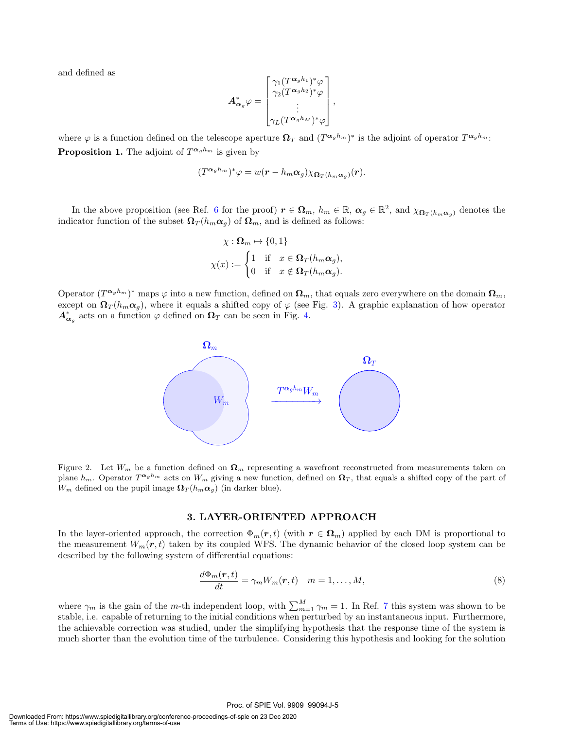and defined as

$$
\pmb{A}_{\pmb{\alpha}_g}^* \varphi = \begin{bmatrix} \gamma_1 (T^{\pmb{\alpha}_g h_1})^* \varphi \\ \gamma_2 (T^{\pmb{\alpha}_g h_2})^* \varphi \\ \vdots \\ \gamma_L (T^{\pmb{\alpha}_g h_M})^* \varphi \end{bmatrix},
$$

where  $\varphi$  is a function defined on the telescope aperture  $\Omega_T$  and  $(T^{\alpha_g h_m})^*$  is the adjoint of operator  $T^{\alpha_g h_m}$ : **Proposition 1.** The adjoint of  $T^{\alpha_g h_m}$  is given by

$$
(T^{\alpha_g h_m})^*\varphi = w(\mathbf{r} - h_m \alpha_g) \chi_{\mathbf{\Omega}_T(h_m \alpha_g)}(\mathbf{r}).
$$

In the above proposition (see Ref. 6 for the proof)  $r \in \Omega_m$ ,  $h_m \in \mathbb{R}$ ,  $\alpha_g \in \mathbb{R}^2$ , and  $\chi_{\Omega_T(h_m \alpha_g)}$  denotes the indicator function of the subset  $\Omega_T(h_m \alpha_q)$  of  $\Omega_m$ , and is defined as follows:

$$
\chi: \Omega_m \mapsto \{0, 1\}
$$
  

$$
\chi(x) := \begin{cases} 1 & \text{if } x \in \Omega_T(h_m \alpha_g), \\ 0 & \text{if } x \notin \Omega_T(h_m \alpha_g). \end{cases}
$$

Operator  $(T^{\alpha_g h_m})^*$  maps  $\varphi$  into a new function, defined on  $\Omega_m$ , that equals zero everywhere on the domain  $\Omega_m$ , except on  $\Omega_T(h_m \alpha_g)$ , where it equals a shifted copy of  $\varphi$  (see Fig. 3). A graphic explanation of how operator  $A^*_{\alpha_g}$  acts on a function  $\varphi$  defined on  $\Omega_T$  can be seen in Fig. 4.



Figure 2. Let  $W_m$  be a function defined on  $\Omega_m$  representing a wavefront reconstructed from measurements taken on plane  $h_m$ . Operator  $T^{\alpha_g h_m}$  acts on  $W_m$  giving a new function, defined on  $\Omega_T$ , that equals a shifted copy of the part of  $W_m$  defined on the pupil image  $\Omega_T(h_m \alpha_g)$  (in darker blue).

# 3. LAYER-ORIENTED APPROACH

In the layer-oriented approach, the correction  $\Phi_m(r, t)$  (with  $r \in \Omega_m$ ) applied by each DM is proportional to the measurement  $W_m(r, t)$  taken by its coupled WFS. The dynamic behavior of the closed loop system can be described by the following system of differential equations:

$$
\frac{d\Phi_m(\mathbf{r},t)}{dt} = \gamma_m W_m(\mathbf{r},t) \quad m = 1,\dots,M,
$$
\n(8)

where  $\gamma_m$  is the gain of the *m*-th independent loop, with  $\sum_{m=1}^{M} \gamma_m = 1$ . In Ref. 7 this system was shown to be stable, i.e. capable of returning to the initial conditions when perturbed by an instantaneous input. Furthermore, the achievable correction was studied, under the simplifying hypothesis that the response time of the system is much shorter than the evolution time of the turbulence. Considering this hypothesis and looking for the solution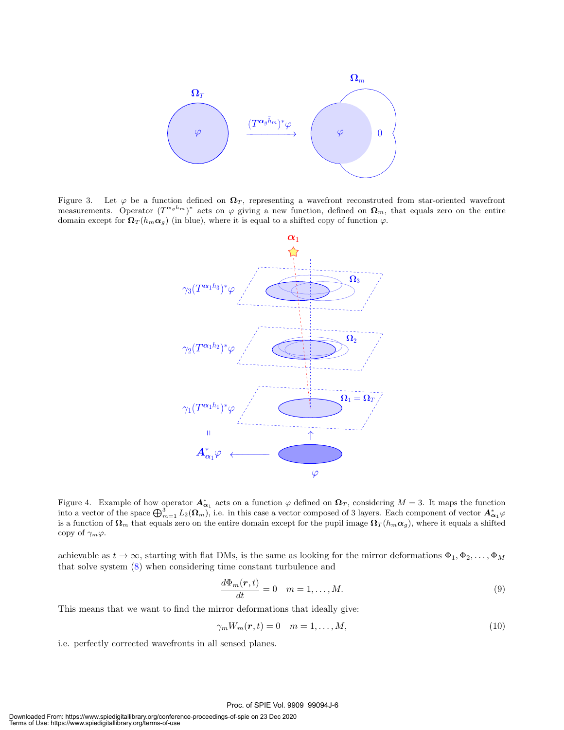

Figure 3. Let  $\varphi$  be a function defined on  $\Omega_T$ , representing a wavefront reconstruted from star-oriented wavefront measurements. Operator  $(T^{\alpha_g h_m})^*$  acts on  $\varphi$  giving a new function, defined on  $\Omega_m$ , that equals zero on the entire domain except for  $\Omega_T(h_m \alpha_q)$  (in blue), where it is equal to a shifted copy of function  $\varphi$ .



Figure 4. Example of how operator  $A_{\alpha_1}^*$  acts on a function  $\varphi$  defined on  $\Omega_T$ , considering  $M = 3$ . It maps the function into a vector of the space  $\bigoplus_{m=1}^3 L_2(\Omega_m)$ , i.e. in this case a vector composed of 3 layers. Each component of vector  $A_{\alpha_1}^*\varphi$ is a function of  $\Omega_m$  that equals zero on the entire domain except for the pupil image  $\Omega_T(h_m\alpha_g)$ , where it equals a shifted copy of  $\gamma_m\varphi$ .

achievable as  $t \to \infty$ , starting with flat DMs, is the same as looking for the mirror deformations  $\Phi_1, \Phi_2, \ldots, \Phi_M$ that solve system (8) when considering time constant turbulence and

$$
\frac{d\Phi_m(\mathbf{r},t)}{dt} = 0 \quad m = 1,\dots,M.
$$
\n(9)

This means that we want to find the mirror deformations that ideally give:

$$
\gamma_m W_m(\mathbf{r}, t) = 0 \quad m = 1, \dots, M,\tag{10}
$$

i.e. perfectly corrected wavefronts in all sensed planes.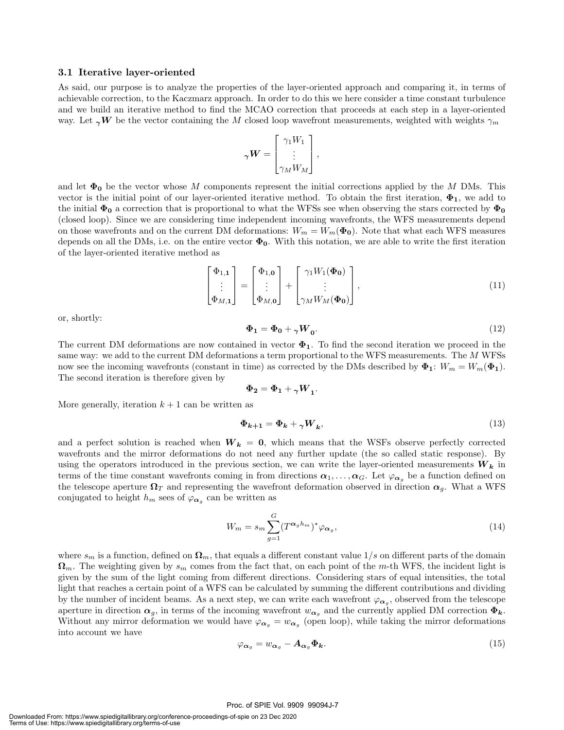#### 3.1 Iterative layer-oriented

As said, our purpose is to analyze the properties of the layer-oriented approach and comparing it, in terms of achievable correction, to the Kaczmarz approach. In order to do this we here consider a time constant turbulence and we build an iterative method to find the MCAO correction that proceeds at each step in a layer-oriented way. Let  $_{\gamma}W$  be the vector containing the M closed loop wavefront measurements, weighted with weights  $\gamma_m$ 

$$
\gamma \boldsymbol{W} = \begin{bmatrix} \gamma_1 W_1 \\ \vdots \\ \gamma_M W_M \end{bmatrix},
$$

and let  $\Phi_0$  be the vector whose M components represent the initial corrections applied by the M DMs. This vector is the initial point of our layer-oriented iterative method. To obtain the first iteration,  $\Phi_1$ , we add to the initial  $\Phi_0$  a correction that is proportional to what the WFSs see when observing the stars corrected by  $\Phi_0$ (closed loop). Since we are considering time independent incoming wavefronts, the WFS measurements depend on those wavefronts and on the current DM deformations:  $W_m = W_m(\Phi_0)$ . Note that what each WFS measures depends on all the DMs, i.e. on the entire vector  $\Phi_0$ . With this notation, we are able to write the first iteration of the layer-oriented iterative method as

$$
\begin{bmatrix} \Phi_{1,1} \\ \vdots \\ \Phi_{M,1} \end{bmatrix} = \begin{bmatrix} \Phi_{1,0} \\ \vdots \\ \Phi_{M,0} \end{bmatrix} + \begin{bmatrix} \gamma_1 W_1(\Phi_0) \\ \vdots \\ \gamma_M W_M(\Phi_0) \end{bmatrix},
$$
(11)

or, shortly:

$$
\Phi_1 = \Phi_0 + \gamma W_0. \tag{12}
$$

The current DM deformations are now contained in vector  $\Phi_1$ . To find the second iteration we proceed in the same way: we add to the current DM deformations a term proportional to the WFS measurements. The M WFSs now see the incoming wavefronts (constant in time) as corrected by the DMs described by  $\Phi_1: W_m = W_m(\Phi_1)$ . The second iteration is therefore given by

$$
\Phi_2 = \Phi_1 + {}_{\gamma}W_1.
$$

More generally, iteration  $k + 1$  can be written as

$$
\Phi_{k+1} = \Phi_k + \gamma W_k,\tag{13}
$$

and a perfect solution is reached when  $W_k = 0$ , which means that the WSFs observe perfectly corrected wavefronts and the mirror deformations do not need any further update (the so called static response). By using the operators introduced in the previous section, we can write the layer-oriented measurements  $W_k$  in terms of the time constant wavefronts coming in from directions  $\alpha_1, \ldots, \alpha_G$ . Let  $\varphi_{\alpha_g}$  be a function defined on the telescope aperture  $\Omega_T$  and representing the wavefront deformation observed in direction  $\alpha_q$ . What a WFS conjugated to height  $h_m$  sees of  $\varphi_{\alpha_g}$  can be written as

$$
W_m = s_m \sum_{g=1}^{G} (T^{\alpha_g h_m})^* \varphi_{\alpha_g}, \qquad (14)
$$

where  $s_m$  is a function, defined on  $\Omega_m$ , that equals a different constant value  $1/s$  on different parts of the domain  $\Omega_m$ . The weighting given by  $s_m$  comes from the fact that, on each point of the m-th WFS, the incident light is given by the sum of the light coming from different directions. Considering stars of equal intensities, the total light that reaches a certain point of a WFS can be calculated by summing the different contributions and dividing by the number of incident beams. As a next step, we can write each wavefront  $\varphi_{\alpha_g}$ , observed from the telescope aperture in direction  $\alpha_g$ , in terms of the incoming wavefront  $w_{\alpha_g}$  and the currently applied DM correction  $\Phi_k$ . Without any mirror deformation we would have  $\varphi_{\alpha_g} = w_{\alpha_g}$  (open loop), while taking the mirror deformations into account we have

$$
\varphi_{\alpha_g} = w_{\alpha_g} - A_{\alpha_g} \Phi_k. \tag{15}
$$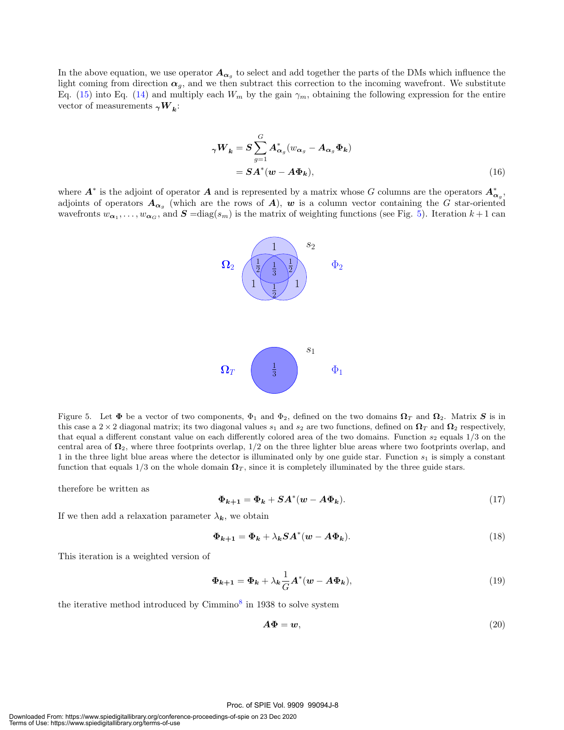In the above equation, we use operator  $A_{\alpha_g}$  to select and add together the parts of the DMs which influence the light coming from direction  $\alpha_g$ , and we then subtract this correction to the incoming wavefront. We substitute Eq. (15) into Eq. (14) and multiply each  $W_m$  by the gain  $\gamma_m$ , obtaining the following expression for the entire vector of measurements  ${}_{\gamma}W_{k}$ :

$$
\gamma \boldsymbol{W}_{k} = \boldsymbol{S} \sum_{g=1}^{G} \boldsymbol{A}_{\alpha_{g}}^{*} (w_{\alpha_{g}} - \boldsymbol{A}_{\alpha_{g}} \boldsymbol{\Phi}_{k})
$$

$$
= \boldsymbol{S} \boldsymbol{A}^{*} (\boldsymbol{w} - \boldsymbol{A} \boldsymbol{\Phi}_{k}), \qquad (16)
$$

where  $A^*$  is the adjoint of operator  $A$  and is represented by a matrix whose G columns are the operators  $A^*_{\alpha_g}$ , adjoints of operators  $A_{\alpha_g}$  (which are the rows of  $A$ ),  $w$  is a column vector containing the  $G$  star-oriented wavefronts  $w_{\alpha_1}, \ldots, w_{\alpha_G}$ , and  $S = \text{diag}(s_m)$  is the matrix of weighting functions (see Fig. 5). Iteration  $k+1$  can



Figure 5. Let  $\Phi$  be a vector of two components,  $\Phi_1$  and  $\Phi_2$ , defined on the two domains  $\Omega_T$  and  $\Omega_2$ . Matrix S is in this case a 2 × 2 diagonal matrix; its two diagonal values  $s_1$  and  $s_2$  are two functions, defined on  $\Omega_T$  and  $\Omega_2$  respectively, that equal a different constant value on each differently colored area of the two domains. Function  $s_2$  equals  $1/3$  on the central area of  $\Omega_2$ , where three footprints overlap,  $1/2$  on the three lighter blue areas where two footprints overlap, and 1 in the three light blue areas where the detector is illuminated only by one guide star. Function  $s_1$  is simply a constant function that equals  $1/3$  on the whole domain  $\Omega_T$ , since it is completely illuminated by the three guide stars.

therefore be written as

$$
\Phi_{k+1} = \Phi_k + SA^*(w - A\Phi_k). \tag{17}
$$

If we then add a relaxation parameter  $\lambda_k$ , we obtain

$$
\Phi_{k+1} = \Phi_k + \lambda_k S A^*(w - A \Phi_k). \tag{18}
$$

This iteration is a weighted version of

$$
\Phi_{k+1} = \Phi_k + \lambda_k \frac{1}{G} A^*(w - A\Phi_k),\tag{19}
$$

the iterative method introduced by Cimmino<sup>8</sup> in 1938 to solve system

$$
A\Phi = w,\t\t(20)
$$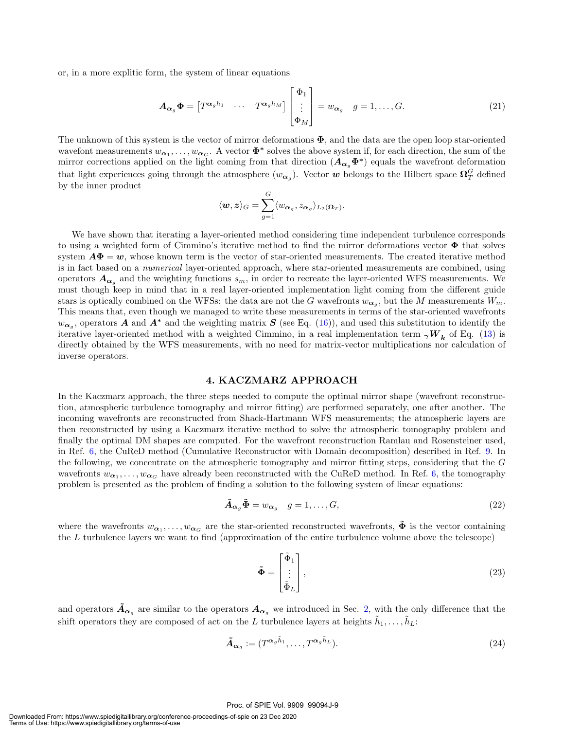or, in a more explitic form, the system of linear equations

$$
\mathbf{A}_{\alpha_g} \mathbf{\Phi} = \begin{bmatrix} T^{\alpha_g h_1} & \cdots & T^{\alpha_g h_M} \end{bmatrix} \begin{bmatrix} \Phi_1 \\ \vdots \\ \Phi_M \end{bmatrix} = w_{\alpha_g} \quad g = 1, \ldots, G. \tag{21}
$$

The unknown of this system is the vector of mirror deformations  $\Phi$ , and the data are the open loop star-oriented wavefont measurements  $w_{\alpha_1}, \ldots, w_{\alpha_G}$ . A vector  $\Phi^*$  solves the above system if, for each direction, the sum of the mirror corrections applied on the light coming from that direction  $(A_{\alpha_g} \Phi^*)$  equals the wavefront deformation that light experiences going through the atmosphere  $(w_{\alpha_g})$ . Vector w belongs to the Hilbert space  $\Omega_T^G$  defined by the inner product

$$
\langle \boldsymbol{w}, \boldsymbol{z} \rangle_G = \sum_{g=1}^G \langle w_{\boldsymbol{\alpha}_g}, z_{\boldsymbol{\alpha}_g} \rangle_{L_2(\boldsymbol{\Omega}_T)}.
$$

We have shown that iterating a layer-oriented method considering time independent turbulence corresponds to using a weighted form of Cimmino's iterative method to find the mirror deformations vector  $\Phi$  that solves system  $A\Phi = w$ , whose known term is the vector of star-oriented measurements. The created iterative method is in fact based on a *numerical* layer-oriented approach, where star-oriented measurements are combined, using operators  $A_{\alpha_g}$  and the weighting functions  $s_m$ , in order to recreate the layer-oriented WFS measurements. We must though keep in mind that in a real layer-oriented implementation light coming from the different guide stars is optically combined on the WFSs: the data are not the G wavefronts  $w_{\alpha_g}$ , but the M measurements  $W_m$ . This means that, even though we managed to write these measurements in terms of the star-oriented wavefronts  $w_{\alpha_g}$ , operators **A** and **A**<sup>\*</sup> and the weighting matrix **S** (see Eq. (16)), and used this substitution to identify the iterative layer-oriented method with a weighted Cimmino, in a real implementation term  $\gamma W_k$  of Eq. (13) is directly obtained by the WFS measurements, with no need for matrix-vector multiplications nor calculation of inverse operators.

# 4. KACZMARZ APPROACH

In the Kaczmarz approach, the three steps needed to compute the optimal mirror shape (wavefront reconstruction, atmospheric turbulence tomography and mirror fitting) are performed separately, one after another. The incoming wavefronts are reconstructed from Shack-Hartmann WFS measurements; the atmospheric layers are then reconstructed by using a Kaczmarz iterative method to solve the atmospheric tomography problem and finally the optimal DM shapes are computed. For the wavefront reconstruction Ramlau and Rosensteiner used, in Ref. 6, the CuReD method (Cumulative Reconstructor with Domain decomposition) described in Ref. 9. In the following, we concentrate on the atmospheric tomography and mirror fitting steps, considering that the  $G$ wavefronts  $w_{\alpha_1}, \ldots, w_{\alpha_G}$  have already been reconstructed with the CuReD method. In Ref. 6, the tomography problem is presented as the problem of finding a solution to the following system of linear equations:

$$
\tilde{\mathbf{A}}_{\alpha_g} \tilde{\mathbf{\Phi}} = w_{\alpha_g} \quad g = 1, \dots, G,\tag{22}
$$

where the wavefronts  $w_{\alpha_1}, \ldots, w_{\alpha_G}$  are the star-oriented reconstructed wavefronts,  $\tilde{\Phi}$  is the vector containing the L turbulence layers we want to find (approximation of the entire turbulence volume above the telescope)

$$
\tilde{\Phi} = \begin{bmatrix} \tilde{\Phi}_1 \\ \vdots \\ \tilde{\Phi}_L \end{bmatrix},\tag{23}
$$

and operators  $\mathbf{A}_{\alpha_a}$  are similar to the operators  $\mathbf{A}_{\alpha_a}$  we introduced in Sec. 2, with the only difference that the shift operators they are composed of act on the L turbulence layers at heights  $\tilde{h}_1, \ldots, \tilde{h}_L$ :

$$
\tilde{\mathbf{A}}_{\alpha_g} := (T^{\alpha_g \tilde{h}_1}, \dots, T^{\alpha_g \tilde{h}_L}).\tag{24}
$$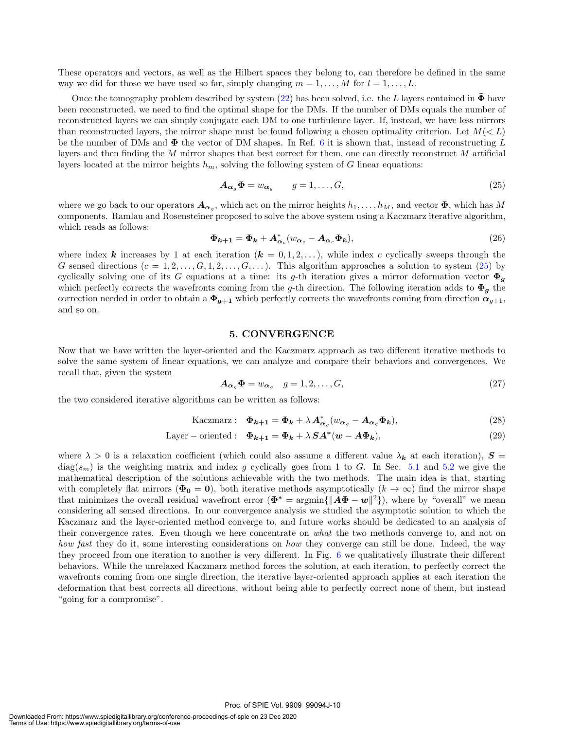These operators and vectors, as well as the Hilbert spaces they belong to, can therefore be defined in the same way we did for those we have used so far, simply changing  $m = 1, \ldots, M$  for  $l = 1, \ldots, L$ .

Once the tomography problem described by system (22) has been solved, i.e. the L layers contained in  $\Phi$  have been reconstructed, we need to find the optimal shape for the DMs. If the number of DMs equals the number of reconstructed layers we can simply conjugate each DM to one turbulence layer. If, instead, we have less mirrors than reconstructed layers, the mirror shape must be found following a chosen optimality criterion. Let  $M(< L)$ be the number of DMs and  $\Phi$  the vector of DM shapes. In Ref. 6 it is shown that, instead of reconstructing L layers and then finding the  $M$  mirror shapes that best correct for them, one can directly reconstruct  $M$  artificial layers located at the mirror heights  $h_m$ , solving the following system of G linear equations:

$$
A_{\alpha_g} \Phi = w_{\alpha_g} \qquad g = 1, \dots, G,\tag{25}
$$

where we go back to our operators  $A_{\alpha_g}$ , which act on the mirror heights  $h_1, \ldots, h_M$ , and vector  $\Phi$ , which has M components. Ramlau and Rosensteiner proposed to solve the above system using a Kaczmarz iterative algorithm, which reads as follows:

$$
\Phi_{k+1} = \Phi_k + A^*_{\alpha_c}(w_{\alpha_c} - A_{\alpha_c}\Phi_k),\tag{26}
$$

where index k increases by 1 at each iteration  $(k = 0, 1, 2, \ldots)$ , while index c cyclically sweeps through the G sensed directions  $(c = 1, 2, \ldots, G, 1, 2, \ldots, G, \ldots)$ . This algorithm approaches a solution to system (25) by cyclically solving one of its G equations at a time: its g-th iteration gives a mirror deformation vector  $\Phi_{q}$ which perfectly corrects the wavefronts coming from the g-th direction. The following iteration adds to  $\Phi_g$  the correction needed in order to obtain a  $\Phi_{g+1}$  which perfectly corrects the wavefronts coming from direction  $\alpha_{g+1}$ , and so on.

# 5. CONVERGENCE

Now that we have written the layer-oriented and the Kaczmarz approach as two different iterative methods to solve the same system of linear equations, we can analyze and compare their behaviors and convergences. We recall that, given the system

$$
\mathbf{A}_{\alpha_g} \mathbf{\Phi} = w_{\alpha_g} \quad g = 1, 2, \dots, G,\tag{27}
$$

the two considered iterative algorithms can be written as follows:

$$
\text{Kaczmarz}: \quad \Phi_{k+1} = \Phi_k + \lambda \, A^*_{\alpha_g}(w_{\alpha_g} - A_{\alpha_g} \Phi_k), \tag{28}
$$

$$
Layer - oriented: \quad \Phi_{k+1} = \Phi_k + \lambda \, SA^*(w - A\Phi_k), \tag{29}
$$

where  $\lambda > 0$  is a relaxation coefficient (which could also assume a different value  $\lambda_k$  at each iteration),  $S =$  $diag(s_m)$  is the weighting matrix and index g cyclically goes from 1 to G. In Sec. 5.1 and 5.2 we give the mathematical description of the solutions achievable with the two methods. The main idea is that, starting with completely flat mirrors ( $\Phi_0 = 0$ ), both iterative methods asymptotically  $(k \to \infty)$  find the mirror shape that minimizes the overall residual wavefront error  $(\Phi^* = \operatorname{argmin}\{\Vert A\Phi - w\Vert^2\})$ , where by "overall" we mean considering all sensed directions. In our convergence analysis we studied the asymptotic solution to which the Kaczmarz and the layer-oriented method converge to, and future works should be dedicated to an analysis of their convergence rates. Even though we here concentrate on *what* the two methods converge to, and not on how fast they do it, some interesting considerations on how they converge can still be done. Indeed, the way they proceed from one iteration to another is very different. In Fig. 6 we qualitatively illustrate their different behaviors. While the unrelaxed Kaczmarz method forces the solution, at each iteration, to perfectly correct the wavefronts coming from one single direction, the iterative layer-oriented approach applies at each iteration the deformation that best corrects all directions, without being able to perfectly correct none of them, but instead "going for a compromise".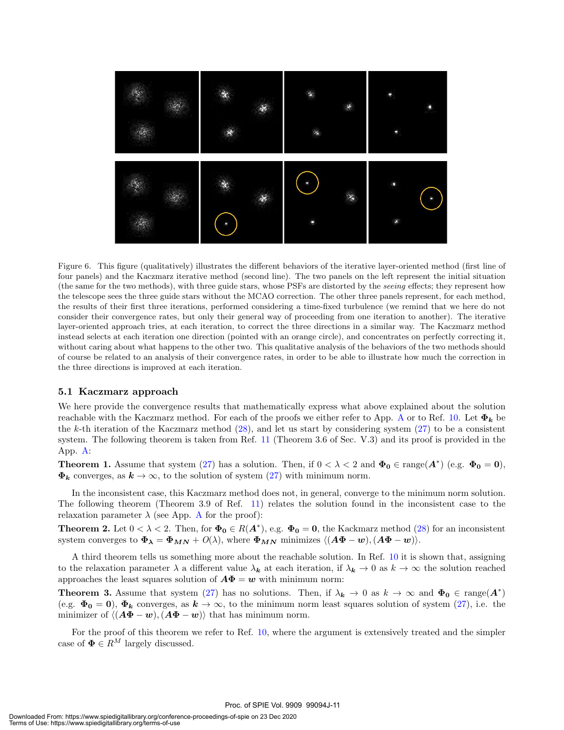

Figure 6. This figure (qualitatively) illustrates the different behaviors of the iterative layer-oriented method (first line of four panels) and the Kaczmarz iterative method (second line). The two panels on the left represent the initial situation (the same for the two methods), with three guide stars, whose PSFs are distorted by the seeing effects; they represent how the telescope sees the three guide stars without the MCAO correction. The other three panels represent, for each method, the results of their first three iterations, performed considering a time-fixed turbulence (we remind that we here do not consider their convergence rates, but only their general way of proceeding from one iteration to another). The iterative layer-oriented approach tries, at each iteration, to correct the three directions in a similar way. The Kaczmarz method instead selects at each iteration one direction (pointed with an orange circle), and concentrates on perfectly correcting it, without caring about what happens to the other two. This qualitative analysis of the behaviors of the two methods should of course be related to an analysis of their convergence rates, in order to be able to illustrate how much the correction in the three directions is improved at each iteration.

# 5.1 Kaczmarz approach

We here provide the convergence results that mathematically express what above explained about the solution reachable with the Kaczmarz method. For each of the proofs we either refer to App. A or to Ref. 10. Let  $\Phi_k$  be the k-th iteration of the Kaczmarz method (28), and let us start by considering system (27) to be a consistent system. The following theorem is taken from Ref. 11 (Theorem 3.6 of Sec. V.3) and its proof is provided in the App. A:

**Theorem 1.** Assume that system (27) has a solution. Then, if  $0 < \lambda < 2$  and  $\Phi_0 \in \text{range}(\mathbf{A}^*)$  (e.g.  $\Phi_0 = 0$ ),  $\Phi_k$  converges, as  $k \to \infty$ , to the solution of system (27) with minimum norm.

In the inconsistent case, this Kaczmarz method does not, in general, converge to the minimum norm solution. The following theorem (Theorem 3.9 of Ref. 11) relates the solution found in the inconsistent case to the relaxation parameter  $\lambda$  (see App. A for the proof):

**Theorem 2.** Let  $0 < \lambda < 2$ . Then, for  $\Phi_0 \in R(\mathbf{A}^*)$ , e.g.  $\Phi_0 = 0$ , the Kackmarz method (28) for an inconsistent system converges to  $\Phi_{\lambda} = \Phi_{MN} + O(\lambda)$ , where  $\Phi_{MN}$  minimizes  $\langle (A\Phi - w), (A\Phi - w) \rangle$ .

A third theorem tells us something more about the reachable solution. In Ref. 10 it is shown that, assigning to the relaxation parameter  $\lambda$  a different value  $\lambda_k$  at each iteration, if  $\lambda_k \to 0$  as  $k \to \infty$  the solution reached approaches the least squares solution of  $A\Phi = w$  with minimum norm:

**Theorem 3.** Assume that system (27) has no solutions. Then, if  $\lambda_k \to 0$  as  $k \to \infty$  and  $\Phi_0 \in \text{range}(\mathbf{A}^*)$ (e.g.  $\Phi_0 = 0$ ),  $\Phi_k$  converges, as  $k \to \infty$ , to the minimum norm least squares solution of system (27), i.e. the minimizer of  $\langle (\mathbf{A}\boldsymbol{\Phi} - \boldsymbol{w}),(\mathbf{A}\boldsymbol{\Phi} - \boldsymbol{w})\rangle$  that has minimum norm.

For the proof of this theorem we refer to Ref. 10, where the argument is extensively treated and the simpler case of  $\pmb{\Phi} \in R^M$  largely discussed.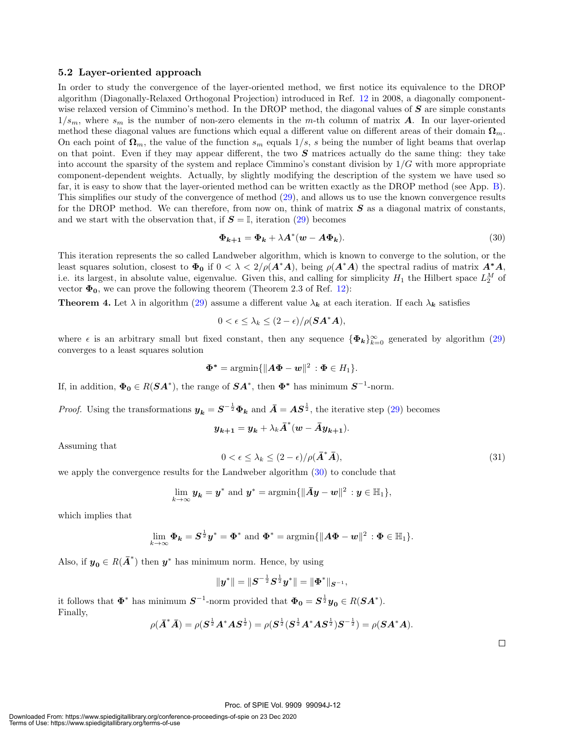### 5.2 Layer-oriented approach

In order to study the convergence of the layer-oriented method, we first notice its equivalence to the DROP algorithm (Diagonally-Relaxed Orthogonal Projection) introduced in Ref. 12 in 2008, a diagonally componentwise relaxed version of Cimmino's method. In the DROP method, the diagonal values of  $S$  are simple constants  $1/s_m$ , where  $s_m$  is the number of non-zero elements in the m-th column of matrix **A**. In our layer-oriented method these diagonal values are functions which equal a different value on different areas of their domain  $\Omega_m$ . On each point of  $\Omega_m$ , the value of the function  $s_m$  equals  $1/s$ , s being the number of light beams that overlap on that point. Even if they may appear different, the two  $S$  matrices actually do the same thing: they take into account the sparsity of the system and replace Cimmino's constant division by  $1/G$  with more appropriate component-dependent weights. Actually, by slightly modifying the description of the system we have used so far, it is easy to show that the layer-oriented method can be written exactly as the DROP method (see App. B). This simplifies our study of the convergence of method (29), and allows us to use the known convergence results for the DROP method. We can therefore, from now on, think of matrix  $S$  as a diagonal matrix of constants, and we start with the observation that, if  $S = \mathbb{I}$ , iteration (29) becomes

$$
\Phi_{k+1} = \Phi_k + \lambda A^*(w - A\Phi_k). \tag{30}
$$

This iteration represents the so called Landweber algorithm, which is known to converge to the solution, or the least squares solution, closest to  $\Phi_0$  if  $0 < \lambda < 2/\rho(A^*A)$ , being  $\rho(A^*A)$  the spectral radius of matrix  $A^*A$ , i.e. its largest, in absolute value, eigenvalue. Given this, and calling for simplicity  $H_1$  the Hilbert space  $L_2^M$  of vector  $\Phi_0$ , we can prove the following theorem (Theorem 2.3 of Ref. 12):

**Theorem 4.** Let  $\lambda$  in algorithm (29) assume a different value  $\lambda_k$  at each iteration. If each  $\lambda_k$  satisfies

$$
0 < \epsilon \leq \lambda_k \leq (2 - \epsilon) / \rho(\mathbf{S} \mathbf{A}^* \mathbf{A}),
$$

where  $\epsilon$  is an arbitrary small but fixed constant, then any sequence  ${\{\Phi_{\bm{k}}\}}_{k=0}^{\infty}$  generated by algorithm (29) converges to a least squares solution

$$
\mathbf{\Phi}^* = \operatorname{argmin} \{ \| \mathbf{A} \mathbf{\Phi} - \mathbf{w} \|^2 \, : \mathbf{\Phi} \in H_1 \}.
$$

If, in addition,  $\Phi_0 \in R(SA^*)$ , the range of  $SA^*$ , then  $\Phi^*$  has minimum  $S^{-1}$ -norm.

*Proof.* Using the transformations  $y_k = S^{-\frac{1}{2}} \Phi_k$  and  $\bar{A} = AS^{\frac{1}{2}}$ , the iterative step (29) becomes

$$
\boldsymbol{y_{k+1}} = \boldsymbol{y_k} + \lambda_k \bar{\boldsymbol{A}}^*(\boldsymbol{w} - \bar{\boldsymbol{A}} \boldsymbol{y_{k+1}}).
$$

Assuming that

$$
0 < \epsilon \le \lambda_k \le (2 - \epsilon) / \rho(\bar{A}^* \bar{A}),\tag{31}
$$

we apply the convergence results for the Landweber algorithm (30) to conclude that

$$
\lim_{k\to\infty}\boldsymbol{y_k}=\boldsymbol{y}^*\text{ and }\boldsymbol{y}^*=\text{argmin}\{\|\bar{\boldsymbol{A}}\boldsymbol{y}-\boldsymbol{w}\|^2\,:\boldsymbol{y}\in\mathbb{H}_1\},
$$

which implies that

$$
\lim_{k\to\infty}\boldsymbol{\Phi_k}=S^{\frac{1}{2}}\boldsymbol{y}^*=\boldsymbol{\Phi}^*\text{ and }\boldsymbol{\Phi}^*=\text{argmin}\{\|\boldsymbol{A}\boldsymbol{\Phi}-\boldsymbol{w}\|^2\,:\boldsymbol{\Phi}\in\mathbb{H}_1\}.
$$

Also, if  $y_0 \in R(\overline{A}^*)$  then  $y^*$  has minimum norm. Hence, by using

$$
\|\bm{y}^*\| = \|\bm{S}^{-\frac{1}{2}}\bm{S}^{\frac{1}{2}}\bm{y}^*\| = \|\bm{\Phi}^*\|_{\bm{S}^{-1}},
$$

it follows that  $\Phi^*$  has minimum  $S^{-1}$ -norm provided that  $\Phi_0 = S^{\frac{1}{2}} y_0 \in R(SA^*)$ . Finally,

$$
\rho(\bar{\boldsymbol{A}}^*\bar{\boldsymbol{A}})=\rho(\boldsymbol{S}^{\frac{1}{2}}\boldsymbol{A}^*\boldsymbol{A}\boldsymbol{S}^{\frac{1}{2}})=\rho(\boldsymbol{S}^{\frac{1}{2}}(\boldsymbol{S}^{\frac{1}{2}}\boldsymbol{A}^*\boldsymbol{A}\boldsymbol{S}^{\frac{1}{2}})\boldsymbol{S}^{-\frac{1}{2}})=\rho(\boldsymbol{S}\boldsymbol{A}^*\boldsymbol{A}).
$$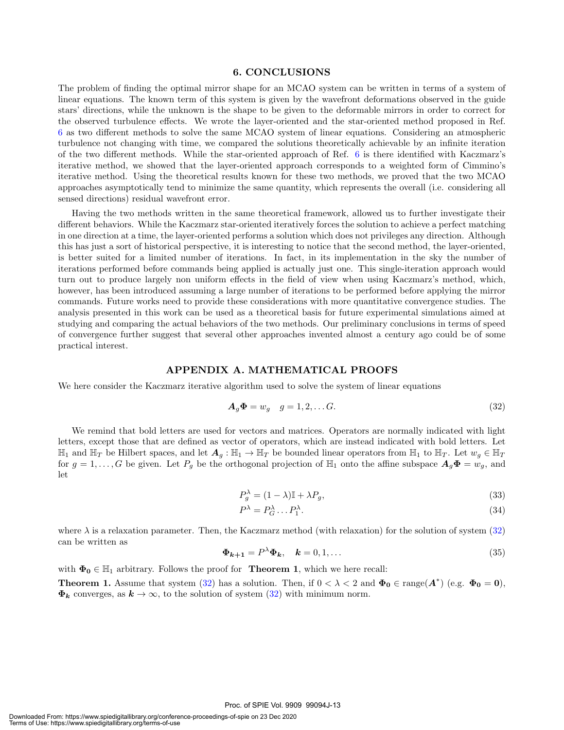# 6. CONCLUSIONS

The problem of finding the optimal mirror shape for an MCAO system can be written in terms of a system of linear equations. The known term of this system is given by the wavefront deformations observed in the guide stars' directions, while the unknown is the shape to be given to the deformable mirrors in order to correct for the observed turbulence effects. We wrote the layer-oriented and the star-oriented method proposed in Ref. 6 as two different methods to solve the same MCAO system of linear equations. Considering an atmospheric turbulence not changing with time, we compared the solutions theoretically achievable by an infinite iteration of the two different methods. While the star-oriented approach of Ref. 6 is there identified with Kaczmarz's iterative method, we showed that the layer-oriented approach corresponds to a weighted form of Cimmino's iterative method. Using the theoretical results known for these two methods, we proved that the two MCAO approaches asymptotically tend to minimize the same quantity, which represents the overall (i.e. considering all sensed directions) residual wavefront error.

Having the two methods written in the same theoretical framework, allowed us to further investigate their different behaviors. While the Kaczmarz star-oriented iteratively forces the solution to achieve a perfect matching in one direction at a time, the layer-oriented performs a solution which does not privileges any direction. Although this has just a sort of historical perspective, it is interesting to notice that the second method, the layer-oriented, is better suited for a limited number of iterations. In fact, in its implementation in the sky the number of iterations performed before commands being applied is actually just one. This single-iteration approach would turn out to produce largely non uniform effects in the field of view when using Kaczmarz's method, which, however, has been introduced assuming a large number of iterations to be performed before applying the mirror commands. Future works need to provide these considerations with more quantitative convergence studies. The analysis presented in this work can be used as a theoretical basis for future experimental simulations aimed at studying and comparing the actual behaviors of the two methods. Our preliminary conclusions in terms of speed of convergence further suggest that several other approaches invented almost a century ago could be of some practical interest.

# APPENDIX A. MATHEMATICAL PROOFS

We here consider the Kaczmarz iterative algorithm used to solve the system of linear equations

$$
\mathbf{A}_g \mathbf{\Phi} = w_g \quad g = 1, 2, \dots G. \tag{32}
$$

We remind that bold letters are used for vectors and matrices. Operators are normally indicated with light letters, except those that are defined as vector of operators, which are instead indicated with bold letters. Let  $\mathbb{H}_1$  and  $\mathbb{H}_T$  be Hilbert spaces, and let  $\mathbf{A}_g : \mathbb{H}_1 \to \mathbb{H}_T$  be bounded linear operators from  $\mathbb{H}_1$  to  $\mathbb{H}_T$ . Let  $w_g \in \mathbb{H}_T$ for  $g = 1, \ldots, G$  be given. Let  $P_g$  be the orthogonal projection of  $\mathbb{H}_1$  onto the affine subspace  $A_g \Phi = w_g$ , and let

$$
P_g^{\lambda} = (1 - \lambda)\mathbb{I} + \lambda P_g,\tag{33}
$$

$$
P^{\lambda} = P_G^{\lambda} \dots P_1^{\lambda}.
$$
\n(34)

where  $\lambda$  is a relaxation parameter. Then, the Kaczmarz method (with relaxation) for the solution of system (32) can be written as

$$
\Phi_{k+1} = P^{\lambda} \Phi_k, \quad k = 0, 1, \dots \tag{35}
$$

with  $\Phi_0 \in \mathbb{H}_1$  arbitrary. Follows the proof for **Theorem 1**, which we here recall:

**Theorem 1.** Assume that system (32) has a solution. Then, if  $0 < \lambda < 2$  and  $\Phi_0 \in \text{range}(\mathbf{A}^*)$  (e.g.  $\Phi_0 = 0$ ),  $\Phi_k$  converges, as  $k \to \infty$ , to the solution of system (32) with minimum norm.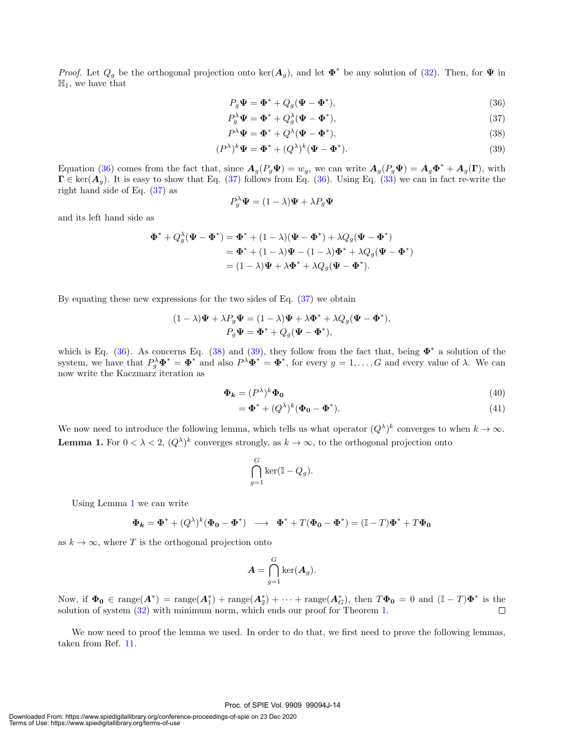*Proof.* Let  $Q_g$  be the orthogonal projection onto ker $(A_g)$ , and let  $\Phi^*$  be any solution of (32). Then, for  $\Psi$  in  $\mathbb{H}_1$ , we have that

$$
P_g \Psi = \Phi^* + Q_g (\Psi - \Phi^*), \tag{36}
$$

 $P_g^{\lambda} \mathbf{\Psi} = \mathbf{\Phi}^* + Q_g^{\lambda} (\mathbf{\Psi} - \mathbf{\Phi}^* )$  $), \t(37)$ 

$$
P^{\lambda}\Psi = \Phi^* + Q^{\lambda}(\Psi - \Phi^*),
$$
\n(38)

$$
(P^{\lambda})^k \Psi = \Phi^* + (Q^{\lambda})^k (\Psi - \Phi^*).
$$
\n(39)

Equation (36) comes from the fact that, since  $A_g(P_g\Psi) = w_g$ , we can write  $A_g(P_g\Psi) = A_g \Phi^* + A_g(\Gamma)$ , with  $\Gamma \in \text{ker}(\mathbf{A}_q)$ . It is easy to show that Eq. (37) follows from Eq. (36). Using Eq. (33) we can in fact re-write the right hand side of Eq.  $(37)$  as

$$
P_g^{\lambda} \Psi = (1 - \lambda) \Psi + \lambda P_g \Psi
$$

and its left hand side as

$$
\Phi^* + Q_g^{\lambda}(\Psi - \Phi^*) = \Phi^* + (1 - \lambda)(\Psi - \Phi^*) + \lambda Q_g(\Psi - \Phi^*)
$$
  
= 
$$
\Phi^* + (1 - \lambda)\Psi - (1 - \lambda)\Phi^* + \lambda Q_g(\Psi - \Phi^*)
$$
  
= 
$$
(1 - \lambda)\Psi + \lambda\Phi^* + \lambda Q_g(\Psi - \Phi^*).
$$

By equating these new expressions for the two sides of Eq. (37) we obtain

$$
(1 - \lambda)\Psi + \lambda P_g \Psi = (1 - \lambda)\Psi + \lambda \Phi^* + \lambda Q_g (\Psi - \Phi^*),
$$
  

$$
P_g \Psi = \Phi^* + Q_g (\Psi - \Phi^*),
$$

which is Eq. (36). As concerns Eq. (38) and (39), they follow from the fact that, being  $\Phi^*$  a solution of the system, we have that  $P_g^{\lambda} \mathbf{\Phi}^* = \mathbf{\Phi}^*$  and also  $P^{\lambda} \mathbf{\Phi}^* = \mathbf{\Phi}^*$ , for every  $g = 1, \ldots, G$  and every value of  $\lambda$ . We can now write the Kaczmarz iteration as

$$
\mathbf{\Phi}_{\mathbf{k}} = (P^{\lambda})^k \mathbf{\Phi}_0 \tag{40}
$$

$$
= \mathbf{\Phi}^* + (Q^{\lambda})^k (\mathbf{\Phi}_0 - \mathbf{\Phi}^*). \tag{41}
$$

We now need to introduce the following lemma, which tells us what operator  $(Q^{\lambda})^k$  converges to when  $k \to \infty$ . **Lemma 1.** For  $0 < \lambda < 2$ ,  $(Q^{\lambda})^k$  converges strongly, as  $k \to \infty$ , to the orthogonal projection onto

$$
\bigcap_{g=1}^G \ker(\mathbb{I} - Q_g).
$$

Using Lemma 1 we can write

$$
\Phi_{\mathbf{k}} = \Phi^* + (Q^{\lambda})^k (\Phi_{\mathbf{0}} - \Phi^*) \longrightarrow \Phi^* + T(\Phi_{\mathbf{0}} - \Phi^*) = (\mathbb{I} - T)\Phi^* + T\Phi_{\mathbf{0}}
$$

as  $k \to \infty$ , where T is the orthogonal projection onto

$$
\boldsymbol{A} = \bigcap_{g=1}^G \ker(\boldsymbol{A}_g).
$$

Now, if  $\Phi_0 \in \text{range}(\mathbf{A}^*) = \text{range}(\mathbf{A}_1^*) + \text{range}(\mathbf{A}_2^*) + \cdots + \text{range}(\mathbf{A}_G^*)$ , then  $T\Phi_0 = 0$  and  $(\mathbb{I} - T)\Phi^*$  is the solution of system (32) with minimum norm, which ends our proof for Theorem 1.

We now need to proof the lemma we used. In order to do that, we first need to prove the following lemmas, taken from Ref. 11.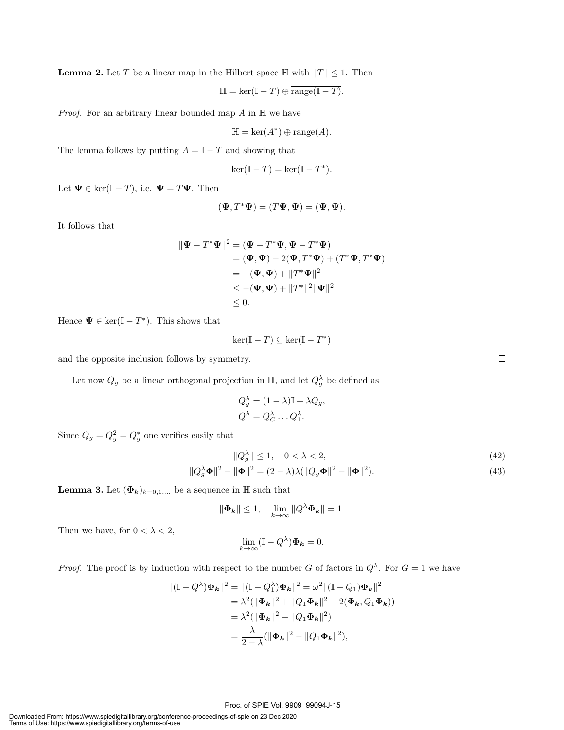**Lemma 2.** Let T be a linear map in the Hilbert space  $\mathbb{H}$  with  $||T|| \leq 1$ . Then

$$
\mathbb{H}=\ker(\mathbb{I}-T)\oplus\overline{\text{range}(\mathbb{I}-T)}.
$$

*Proof.* For an arbitrary linear bounded map  $A$  in  $\mathbb{H}$  we have

$$
\mathbb{H} = \ker(A^*) \oplus \overline{\text{range}(A)}.
$$

The lemma follows by putting  $A = \mathbb{I} - T$  and showing that

$$
\ker(\mathbb{I} - T) = \ker(\mathbb{I} - T^*).
$$

Let  $\Psi \in \ker(\mathbb{I} - T)$ , i.e.  $\Psi = T\Psi$ . Then

$$
(\Psi, T^*\Psi) = (T\Psi, \Psi) = (\Psi, \Psi)
$$

It follows that

$$
\begin{aligned} \|\Psi - T^*\Psi\|^2 &= (\Psi - T^*\Psi, \Psi - T^*\Psi) \\ &= (\Psi, \Psi) - 2(\Psi, T^*\Psi) + (T^*\Psi, T^*\Psi) \\ &= -(\Psi, \Psi) + \|T^*\Psi\|^2 \\ &\leq -(\Psi, \Psi) + \|T^*\|^2 \|\Psi\|^2 \\ &\leq 0. \end{aligned}
$$

Hence  $\Psi \in \ker(\mathbb{I} - T^*)$ . This shows that

$$
\ker(\mathbb{I} - T) \subseteq \ker(\mathbb{I} - T^*)
$$

and the opposite inclusion follows by symmetry.

Let now  $Q_g$  be a linear orthogonal projection in  $\mathbb{H}$ , and let  $Q_g^{\lambda}$  be defined as

$$
Q_g^{\lambda} = (1 - \lambda)\mathbb{I} + \lambda Q_g,
$$
  
\n
$$
Q^{\lambda} = Q_G^{\lambda} \dots Q_1^{\lambda}.
$$

Since  $Q_g = Q_g^2 = Q_g^*$  one verifies easily that

$$
||Q_g^{\lambda}|| \le 1, \quad 0 < \lambda < 2,\tag{42}
$$

$$
\|Q_g^{\lambda}\Phi\|^2 - \|\Phi\|^2 = (2 - \lambda)\lambda (\|Q_g\Phi\|^2 - \|\Phi\|^2). \tag{43}
$$

**Lemma 3.** Let  $(\Phi_k)_{k=0,1,...}$  be a sequence in H such that

$$
\|\boldsymbol{\Phi}_{\boldsymbol{k}}\| \leq 1, \quad \lim_{k \to \infty} \|Q^{\lambda} \boldsymbol{\Phi}_{\boldsymbol{k}}\| = 1.
$$

Then we have, for  $0 < \lambda < 2$ ,

$$
\lim_{k \to \infty} (\mathbb{I} - Q^{\lambda}) \Phi_{\mathbf{k}} = 0.
$$

*Proof.* The proof is by induction with respect to the number G of factors in  $Q^{\lambda}$ . For  $G = 1$  we have

$$
\begin{aligned} ||(\mathbb{I} - Q^{\lambda})\Phi_{\mathbf{k}}||^{2} &= ||(\mathbb{I} - Q_{1}^{\lambda})\Phi_{\mathbf{k}}||^{2} = \omega^{2} ||(\mathbb{I} - Q_{1})\Phi_{\mathbf{k}}||^{2} \\ &= \lambda^{2} (||\Phi_{\mathbf{k}}||^{2} + ||Q_{1}\Phi_{\mathbf{k}}||^{2} - 2(\Phi_{\mathbf{k}}, Q_{1}\Phi_{\mathbf{k}})) \\ &= \lambda^{2} (||\Phi_{\mathbf{k}}||^{2} - ||Q_{1}\Phi_{\mathbf{k}}||^{2}) \\ &= \frac{\lambda}{2 - \lambda} (||\Phi_{\mathbf{k}}||^{2} - ||Q_{1}\Phi_{\mathbf{k}}||^{2}), \end{aligned}
$$

# Proc. of SPIE Vol. 9909 99094J-15

 $\Box$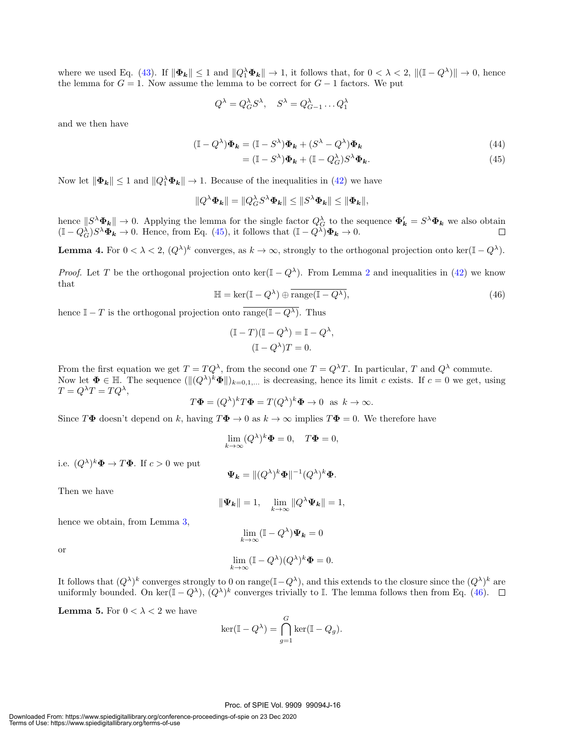where we used Eq. (43). If  $\|\mathbf{\Phi_k}\| \leq 1$  and  $\|Q_1^{\lambda} \mathbf{\Phi_k}\| \to 1$ , it follows that, for  $0 < \lambda < 2$ ,  $\|(\mathbb{I} - Q^{\lambda})\| \to 0$ , hence the lemma for  $G = 1$ . Now assume the lemma to be correct for  $G - 1$  factors. We put

$$
Q^{\lambda} = Q^{\lambda}_{G} S^{\lambda}, \quad S^{\lambda} = Q^{\lambda}_{G-1} \dots Q^{\lambda}_{1}
$$

and we then have

$$
(\mathbb{I} - Q^{\lambda})\Phi_{\mathbf{k}} = (\mathbb{I} - S^{\lambda})\Phi_{\mathbf{k}} + (S^{\lambda} - Q^{\lambda})\Phi_{\mathbf{k}}
$$
\n(44)

$$
= (\mathbb{I} - S^{\lambda})\Phi_{\mathbf{k}} + (\mathbb{I} - Q_G^{\lambda})S^{\lambda}\Phi_{\mathbf{k}}.
$$
\n(45)

Now let  $\|\Phi_{\bm{k}}\| \leq 1$  and  $\|Q_1^{\lambda}\Phi_{\bm{k}}\| \to 1$ . Because of the inequalities in (42) we have

$$
||Q^{\lambda}\Phi_{\boldsymbol{k}}|| = ||Q^{\lambda}_{G}S^{\lambda}\Phi_{\boldsymbol{k}}|| \leq ||S^{\lambda}\Phi_{\boldsymbol{k}}|| \leq ||\Phi_{\boldsymbol{k}}||,
$$

hence  $||S^{\lambda} \Phi_{k}|| \to 0$ . Applying the lemma for the single factor  $Q_G^{\lambda}$  to the sequence  $\Phi'_{k} = S^{\lambda} \Phi_{k}$  we also obtain  $(\mathbb{I} - Q_G^{\lambda})S^{\lambda} \Phi_{\mathbf{k}} \to 0$ . Hence, from Eq. (45), it follows that  $(\mathbb{I} - Q^{\lambda})\Phi_{\mathbf{k}} \to 0$ .

**Lemma 4.** For  $0 < \lambda < 2$ ,  $(Q^{\lambda})^k$  converges, as  $k \to \infty$ , strongly to the orthogonal projection onto ker( $\mathbb{I} - Q^{\lambda}$ ).

*Proof.* Let T be the orthogonal projection onto ker( $\mathbb{I} - Q^{\lambda}$ ). From Lemma 2 and inequalities in (42) we know that

$$
\mathbb{H} = \ker(\mathbb{I} - Q^{\lambda}) \oplus \overline{\text{range}(\mathbb{I} - Q^{\lambda})},\tag{46}
$$

hence  $\mathbb{I} - T$  is the orthogonal projection onto  $\overline{\text{range}}(\mathbb{I} - Q^{\lambda})$ . Thus

$$
(\mathbb{I} - T)(\mathbb{I} - Q^{\lambda}) = \mathbb{I} - Q^{\lambda},
$$

$$
(\mathbb{I} - Q^{\lambda})T = 0.
$$

From the first equation we get  $T = TQ^{\lambda}$ , from the second one  $T = Q^{\lambda}T$ . In particular, T and  $Q^{\lambda}$  commute. Now let  $\Phi \in \mathbb{H}$ . The sequence  $(\|(Q^{\lambda})^k \Phi\|)_{k=0,1,\dots}$  is decreasing, hence its limit c exists. If  $c = 0$  we get, using  $T = Q^{\lambda}T = TQ^{\lambda},$ 

$$
T\mathbf{\Phi} = (Q^{\lambda})^k T\mathbf{\Phi} = T(Q^{\lambda})^k \mathbf{\Phi} \to 0 \text{ as } k \to \infty.
$$

Since  $T\Phi$  doesn't depend on k, having  $T\Phi \to 0$  as  $k \to \infty$  implies  $T\Phi = 0$ . We therefore have

$$
\lim_{k \to \infty} (Q^{\lambda})^k \mathbf{\Phi} = 0, \quad T \mathbf{\Phi} = 0,
$$

i.e.  $(Q^{\lambda})^k \mathbf{\Phi} \to T \mathbf{\Phi}$ . If  $c > 0$  we put

$$
\Psi_{\mathbf{k}} = ||(Q^{\lambda})^{k} \Phi||^{-1} (Q^{\lambda})^{k} \Phi.
$$

Then we have

$$
\|\mathbf{\Psi}_{\mathbf{k}}\| = 1, \quad \lim_{k \to \infty} \|Q^{\lambda} \mathbf{\Psi}_{\mathbf{k}}\| = 1,
$$

hence we obtain, from Lemma 3,

$$
\lim_{k \to \infty} (\mathbb{I} - Q^{\lambda}) \Psi_{k} = 0
$$

or

$$
\lim_{k \to \infty} (\mathbb{I} - Q^{\lambda})(Q^{\lambda})^k \Phi = 0.
$$

It follows that  $(Q^{\lambda})^k$  converges strongly to 0 on range(I- $(Q^{\lambda})$ , and this extends to the closure since the  $(Q^{\lambda})^k$  are uniformly bounded. On ker $(I - Q^{\lambda}), (Q^{\lambda})^k$  converges trivially to I. The lemma follows then from Eq. (46).

**Lemma 5.** For  $0 < \lambda < 2$  we have

$$
\ker(\mathbb{I} - Q^{\lambda}) = \bigcap_{g=1}^{G} \ker(\mathbb{I} - Q_g).
$$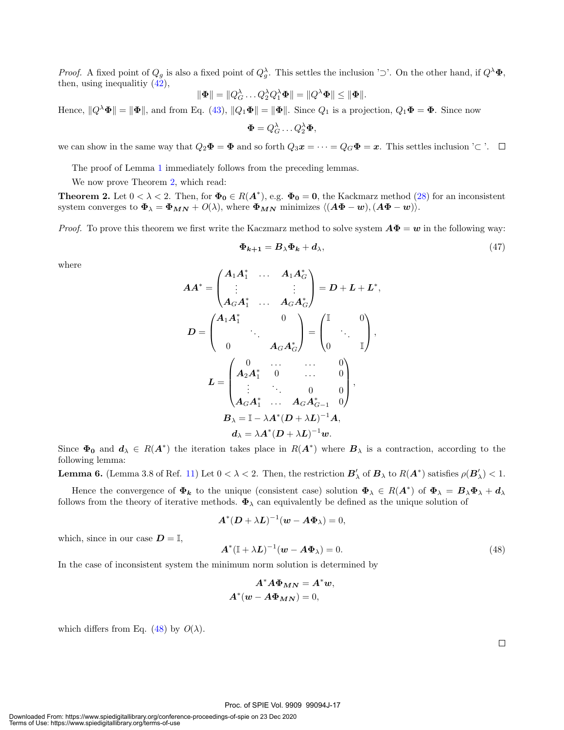*Proof.* A fixed point of  $Q_g$  is also a fixed point of  $Q_g^{\lambda}$ . This settles the inclusion ' $\supset$ '. On the other hand, if  $Q^{\lambda} \Phi$ , then, using inequalitiy  $(42)$ ,

$$
\|\mathbf{\Phi}\| = \|Q_G^{\lambda} \dots Q_2^{\lambda} Q_1^{\lambda} \mathbf{\Phi}\| = \|Q^{\lambda} \mathbf{\Phi}\| \le \|\mathbf{\Phi}\|.
$$

Hence,  $\|Q^{\lambda}\Phi\| = \|\Phi\|$ , and from Eq. (43),  $\|Q_1\Phi\| = \|\Phi\|$ . Since  $Q_1$  is a projection,  $Q_1\Phi = \Phi$ . Since now

$$
\mathbf{\Phi} = Q_G^{\lambda} \dots Q_2^{\lambda} \mathbf{\Phi},
$$

we can show in the same way that  $Q_2\Phi = \Phi$  and so forth  $Q_3x = \cdots = Q_G\Phi = x$ . This settles inclusion ' $\subset$ '.  $\Box$ 

The proof of Lemma 1 immediately follows from the preceding lemmas.

We now prove Theorem 2, which read:

**Theorem 2.** Let  $0 < \lambda < 2$ . Then, for  $\Phi_0 \in R(\mathbf{A}^*)$ , e.g.  $\Phi_0 = 0$ , the Kackmarz method (28) for an inconsistent system converges to  $\Phi_{\lambda} = \Phi_{MN} + O(\lambda)$ , where  $\Phi_{MN}$  minimizes  $\langle (A\Phi - w), (A\Phi - w) \rangle$ .

*Proof.* To prove this theorem we first write the Kaczmarz method to solve system  $\mathbf{A}\Phi = \mathbf{w}$  in the following way:

$$
\Phi_{k+1} = B_{\lambda} \Phi_k + d_{\lambda},\tag{47}
$$

,

where

$$
AA^* = \begin{pmatrix} A_1 A_1^* & \dots & A_1 A_G^* \\ \vdots & & \vdots \\ A_G A_1^* & \dots & A_G A_G^* \end{pmatrix} = D + L + L^*
$$

$$
D = \begin{pmatrix} A_1 A_1^* & 0 \\ & \ddots \\ 0 & & A_G A_G^* \end{pmatrix} = \begin{pmatrix} \mathbb{I} & 0 \\ & \ddots \\ 0 & & \mathbb{I} \end{pmatrix},
$$

$$
L = \begin{pmatrix} 0 & \dots & \dots & 0 \\ A_2 A_1^* & 0 & \dots & 0 \\ \vdots & \ddots & 0 & 0 \\ A_G A_1^* & \dots & A_G A_{G-1}^* & 0 \end{pmatrix},
$$

$$
B_\lambda = \mathbb{I} - \lambda A^* (D + \lambda L)^{-1} A,
$$

$$
d_\lambda = \lambda A^* (D + \lambda L)^{-1} w.
$$

Since  $\Phi_0$  and  $d_\lambda \in R(A^*)$  the iteration takes place in  $R(A^*)$  where  $B_\lambda$  is a contraction, according to the following lemma:

**Lemma 6.** (Lemma 3.8 of Ref. 11) Let  $0 < \lambda < 2$ . Then, the restriction  $B'_{\lambda}$  of  $B_{\lambda}$  to  $R(A^*)$  satisfies  $\rho(B'_{\lambda}) < 1$ .

Hence the convergence of  $\Phi_{\bf k}$  to the unique (consistent case) solution  $\Phi_{\lambda} \in R(A^*)$  of  $\Phi_{\lambda} = B_{\lambda} \Phi_{\lambda} + d_{\lambda}$ follows from the theory of iterative methods.  $\Phi_{\lambda}$  can equivalently be defined as the unique solution of

$$
\boldsymbol{A}^*(\boldsymbol{D}+\lambda\boldsymbol{L})^{-1}(\boldsymbol{w}-\boldsymbol{A}\boldsymbol{\Phi}_{\lambda})=0,
$$

which, since in our case  $D = \mathbb{I}$ ,

$$
\mathbf{A}^*(\mathbb{I} + \lambda \mathbf{L})^{-1}(\mathbf{w} - \mathbf{A}\mathbf{\Phi}_\lambda) = 0.
$$
 (48)

In the case of inconsistent system the minimum norm solution is determined by

$$
A^*A\Phi_{MN} = A^*w,
$$
  

$$
A^*(w - A\Phi_{MN}) = 0,
$$

which differs from Eq. (48) by  $O(\lambda)$ .

 $\Box$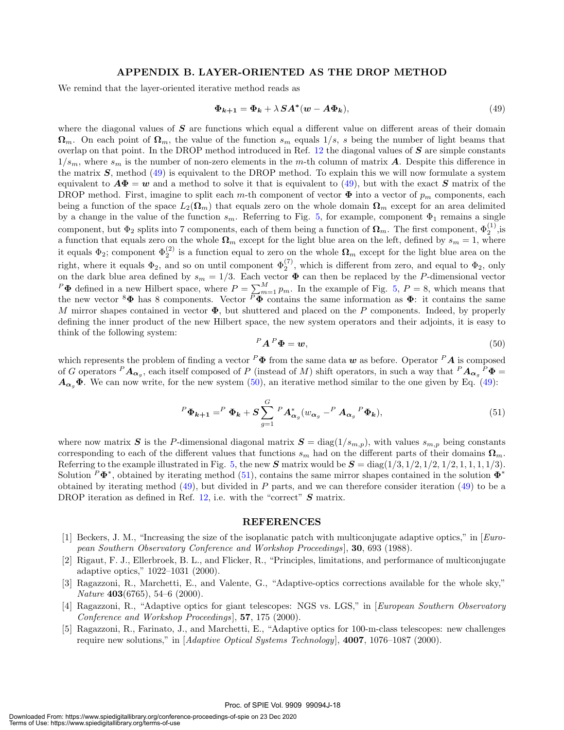# APPENDIX B. LAYER-ORIENTED AS THE DROP METHOD

We remind that the layer-oriented iterative method reads as

$$
\Phi_{k+1} = \Phi_k + \lambda S A^*(w - A \Phi_k),\tag{49}
$$

where the diagonal values of  $S$  are functions which equal a different value on different areas of their domain  $\Omega_m$ . On each point of  $\Omega_m$ , the value of the function  $s_m$  equals  $1/s$ , s being the number of light beams that overlap on that point. In the DROP method introduced in Ref.  $12$  the diagonal values of  $S$  are simple constants  $1/s_m$ , where  $s_m$  is the number of non-zero elements in the m-th column of matrix **A**. Despite this difference in the matrix  $S$ , method (49) is equivalent to the DROP method. To explain this we will now formulate a system equivalent to  $A\Phi = w$  and a method to solve it that is equivalent to (49), but with the exact S matrix of the DROP method. First, imagine to split each m-th component of vector  $\Phi$  into a vector of  $p_m$  components, each being a function of the space  $L_2(\Omega_m)$  that equals zero on the whole domain  $\Omega_m$  except for an area delimited by a change in the value of the function  $s_m$ . Referring to Fig. 5, for example, component  $\Phi_1$  remains a single component, but  $\Phi_2$  splits into 7 components, each of them being a function of  $\Omega_m$ . The first component,  $\Phi_2^{(1)}$ , is a function that equals zero on the whole  $\Omega_m$  except for the light blue area on the left, defined by  $s_m = 1$ , where it equals  $\Phi_2$ ; component  $\Phi_2^{(2)}$  is a function equal to zero on the whole  $\Omega_m$  except for the light blue area on the right, where it equals  $\Phi_2$ , and so on until component  $\Phi_2^{(7)}$ , which is different from zero, and equal to  $\Phi_2$ , only on the dark blue area defined by  $s_m = 1/3$ . Each vector  $\Phi$  can then be replaced by the P-dimensional vector  $P\Phi$  defined in a new Hilbert space, where  $P = \sum_{m=1}^{M} p_m$ . In the example of Fig. 5,  $P = 8$ , which means that the new vector  ${}^{8}\Phi$  has 8 components. Vector  ${}^{P}\Phi$  contains the same information as  $\Phi$ : it contains the same M mirror shapes contained in vector  $\Phi$ , but shuttered and placed on the P components. Indeed, by properly defining the inner product of the new Hilbert space, the new system operators and their adjoints, it is easy to think of the following system:

$$
{}^{P}A\,{}^{P}\Phi = w,\tag{50}
$$

which represents the problem of finding a vector  $^P\Phi$  from the same data w as before. Operator  $^P A$  is composed of G operators  $^P A_{\alpha_g}$ , each itself composed of P (instead of M) shift operators, in such a way that  $^P A_{\alpha_g}^P \Phi =$  $A_{\alpha_q}\Phi$ . We can now write, for the new system (50), an iterative method similar to the one given by Eq. (49):

$$
{}^{P}\Phi_{k+1} = {}^{P}\Phi_{k} + S \sum_{g=1}^{G} {}^{P}A_{\alpha_{g}}^{*}(w_{\alpha_{g}} - {}^{P}A_{\alpha_{g}}^{P}\Phi_{k}), \qquad (51)
$$

where now matrix S is the P-dimensional diagonal matrix  $S = \text{diag}(1/s_{m,p})$ , with values  $s_{m,p}$  being constants corresponding to each of the different values that functions  $s_m$  had on the different parts of their domains  $\Omega_m$ . Referring to the example illustrated in Fig. 5, the new S matrix would be  $S = diag(1/3, 1/2, 1/2, 1/2, 1, 1, 1, 1/3)$ . Solution  $P\Phi^*$ , obtained by iterating method (51), contains the same mirror shapes contained in the solution  $\Phi^*$ obtained by iterating method  $(49)$ , but divided in P parts, and we can therefore consider iteration  $(49)$  to be a DROP iteration as defined in Ref. 12, i.e. with the "correct"  $S$  matrix.

# REFERENCES

- [1] Beckers, J. M., "Increasing the size of the isoplanatic patch with multiconjugate adaptive optics," in [European Southern Observatory Conference and Workshop Proceedings, 30, 693 (1988).
- [2] Rigaut, F. J., Ellerbroek, B. L., and Flicker, R., "Principles, limitations, and performance of multiconjugate adaptive optics," 1022–1031 (2000).
- [3] Ragazzoni, R., Marchetti, E., and Valente, G., "Adaptive-optics corrections available for the whole sky," Nature 403(6765), 54–6 (2000).
- [4] Ragazzoni, R., "Adaptive optics for giant telescopes: NGS vs. LGS," in [European Southern Observatory Conference and Workshop Proceedings], 57, 175 (2000).
- [5] Ragazzoni, R., Farinato, J., and Marchetti, E., "Adaptive optics for 100-m-class telescopes: new challenges require new solutions," in  $[Adaptive$  Optical Systems Technology], 4007, 1076–1087 (2000).